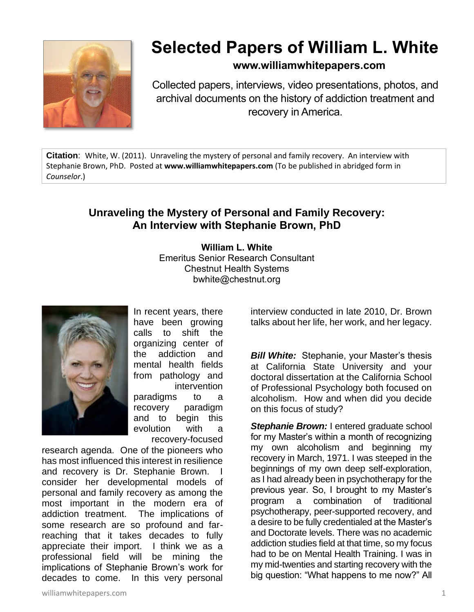

## **Selected Papers of William L. White**

## **www.williamwhitepapers.com**

Collected papers, interviews, video presentations, photos, and archival documents on the history of addiction treatment and recovery in America.

**Citation**: White, W. (2011). Unraveling the mystery of personal and family recovery. An interview with Stephanie Brown, PhD. Posted at **[www.williamwhitepapers.com](http://www.williamwhitepapers.com/)** (To be published in abridged form in *Counselor*.)

## **Unraveling the Mystery of Personal and Family Recovery: An Interview with Stephanie Brown, PhD**

**William L. White** Emeritus Senior Research Consultant Chestnut Health Systems bwhite@chestnut.org



In recent years, there have been growing calls to shift the organizing center of the addiction and mental health fields from pathology and intervention paradigms to a recovery paradigm and to begin this evolution with a recovery-focused

research agenda. One of the pioneers who has most influenced this interest in resilience and recovery is Dr. Stephanie Brown. I consider her developmental models of personal and family recovery as among the most important in the modern era of addiction treatment. The implications of some research are so profound and farreaching that it takes decades to fully appreciate their import. I think we as a professional field will be mining the implications of Stephanie Brown's work for decades to come. In this very personal

interview conducted in late 2010, Dr. Brown talks about her life, her work, and her legacy.

*Bill White:*Stephanie, your Master's thesis at California State University and your doctoral dissertation at the California School of Professional Psychology both focused on alcoholism. How and when did you decide on this focus of study?

**Stephanie Brown:** I entered graduate school for my Master's within a month of recognizing my own alcoholism and beginning my recovery in March, 1971. I was steeped in the beginnings of my own deep self-exploration, as I had already been in psychotherapy for the previous year. So, I brought to my Master's program a combination of traditional psychotherapy, peer-supported recovery, and a desire to be fully credentialed at the Master's and Doctorate levels. There was no academic addiction studies field at that time, so my focus had to be on Mental Health Training. I was in my mid-twenties and starting recovery with the big question: "What happens to me now?" All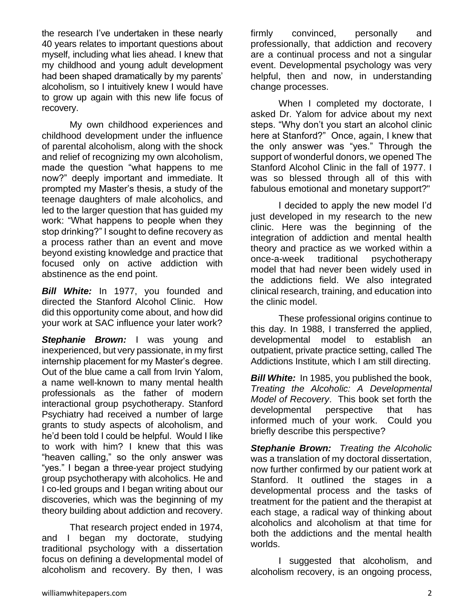the research I've undertaken in these nearly 40 years relates to important questions about myself, including what lies ahead. I knew that my childhood and young adult development had been shaped dramatically by my parents' alcoholism, so I intuitively knew I would have to grow up again with this new life focus of recovery.

My own childhood experiences and childhood development under the influence of parental alcoholism, along with the shock and relief of recognizing my own alcoholism, made the question "what happens to me now?" deeply important and immediate. It prompted my Master's thesis, a study of the teenage daughters of male alcoholics, and led to the larger question that has guided my work: "What happens to people when they stop drinking?" I sought to define recovery as a process rather than an event and move beyond existing knowledge and practice that focused only on active addiction with abstinence as the end point.

*Bill White:* In 1977, you founded and directed the Stanford Alcohol Clinic. How did this opportunity come about, and how did your work at SAC influence your later work?

**Stephanie Brown:** I was young and inexperienced, but very passionate, in my first internship placement for my Master's degree. Out of the blue came a call from Irvin Yalom, a name well-known to many mental health professionals as the father of modern interactional group psychotherapy. Stanford Psychiatry had received a number of large grants to study aspects of alcoholism, and he'd been told I could be helpful. Would I like to work with him? I knew that this was "heaven calling," so the only answer was "yes." I began a three-year project studying group psychotherapy with alcoholics. He and I co-led groups and I began writing about our discoveries, which was the beginning of my theory building about addiction and recovery.

That research project ended in 1974, and I began my doctorate, studying traditional psychology with a dissertation focus on defining a developmental model of alcoholism and recovery. By then, I was

firmly convinced, personally and professionally, that addiction and recovery are a continual process and not a singular event. Developmental psychology was very helpful, then and now, in understanding change processes.

When I completed my doctorate, I asked Dr. Yalom for advice about my next steps. "Why don't you start an alcohol clinic here at Stanford?" Once, again, I knew that the only answer was "yes." Through the support of wonderful donors, we opened The Stanford Alcohol Clinic in the fall of 1977. I was so blessed through all of this with fabulous emotional and monetary support?"

I decided to apply the new model I'd just developed in my research to the new clinic. Here was the beginning of the integration of addiction and mental health theory and practice as we worked within a once-a-week traditional psychotherapy model that had never been widely used in the addictions field. We also integrated clinical research, training, and education into the clinic model.

These professional origins continue to this day. In 1988, I transferred the applied, developmental model to establish an outpatient, private practice setting, called The Addictions Institute, which I am still directing.

*Bill White:* In 1985, you published the book, *Treating the Alcoholic: A Developmental Model of Recovery*. This book set forth the developmental perspective that has informed much of your work. Could you briefly describe this perspective?

*Stephanie Brown:**Treating the Alcoholic* was a translation of my doctoral dissertation, now further confirmed by our patient work at Stanford. It outlined the stages in a developmental process and the tasks of treatment for the patient and the therapist at each stage, a radical way of thinking about alcoholics and alcoholism at that time for both the addictions and the mental health worlds.

I suggested that alcoholism, and alcoholism recovery, is an ongoing process,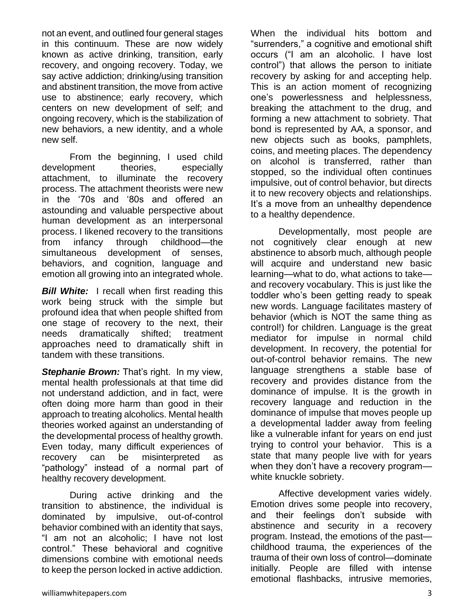not an event, and outlined four general stages in this continuum. These are now widely known as active drinking, transition, early recovery, and ongoing recovery. Today, we say active addiction; drinking/using transition and abstinent transition, the move from active use to abstinence; early recovery, which centers on new development of self; and ongoing recovery, which is the stabilization of new behaviors, a new identity, and a whole new self.

From the beginning, I used child development theories, especially attachment, to illuminate the recovery process. The attachment theorists were new in the '70s and '80s and offered an astounding and valuable perspective about human development as an interpersonal process. I likened recovery to the transitions from infancy through childhood—the simultaneous development of senses, behaviors, and cognition, language and emotion all growing into an integrated whole.

**Bill White:** I recall when first reading this work being struck with the simple but profound idea that when people shifted from one stage of recovery to the next, their needs dramatically shifted; treatment approaches need to dramatically shift in tandem with these transitions.

**Stephanie Brown:** That's right. In my view, mental health professionals at that time did not understand addiction, and in fact, were often doing more harm than good in their approach to treating alcoholics. Mental health theories worked against an understanding of the developmental process of healthy growth. Even today, many difficult experiences of recovery can be misinterpreted as "pathology" instead of a normal part of healthy recovery development.

During active drinking and the transition to abstinence, the individual is dominated by impulsive, out-of-control behavior combined with an identity that says, "I am not an alcoholic; I have not lost control." These behavioral and cognitive dimensions combine with emotional needs to keep the person locked in active addiction. When the individual hits bottom and "surrenders," a cognitive and emotional shift occurs ("I am an alcoholic. I have lost control") that allows the person to initiate recovery by asking for and accepting help. This is an action moment of recognizing one's powerlessness and helplessness, breaking the attachment to the drug, and forming a new attachment to sobriety. That bond is represented by AA, a sponsor, and new objects such as books, pamphlets, coins, and meeting places. The dependency on alcohol is transferred, rather than stopped, so the individual often continues impulsive, out of control behavior, but directs it to new recovery objects and relationships. It's a move from an unhealthy dependence to a healthy dependence.

Developmentally, most people are not cognitively clear enough at new abstinence to absorb much, although people will acquire and understand new basic learning—what to do, what actions to take and recovery vocabulary. This is just like the toddler who's been getting ready to speak new words. Language facilitates mastery of behavior (which is NOT the same thing as control!) for children. Language is the great mediator for impulse in normal child development. In recovery, the potential for out-of-control behavior remains. The new language strengthens a stable base of recovery and provides distance from the dominance of impulse. It is the growth in recovery language and reduction in the dominance of impulse that moves people up a developmental ladder away from feeling like a vulnerable infant for years on end just trying to control your behavior. This is a state that many people live with for years when they don't have a recovery program white knuckle sobriety.

Affective development varies widely. Emotion drives some people into recovery, and their feelings don't subside with abstinence and security in a recovery program. Instead, the emotions of the past childhood trauma, the experiences of the trauma of their own loss of control—dominate initially. People are filled with intense emotional flashbacks, intrusive memories,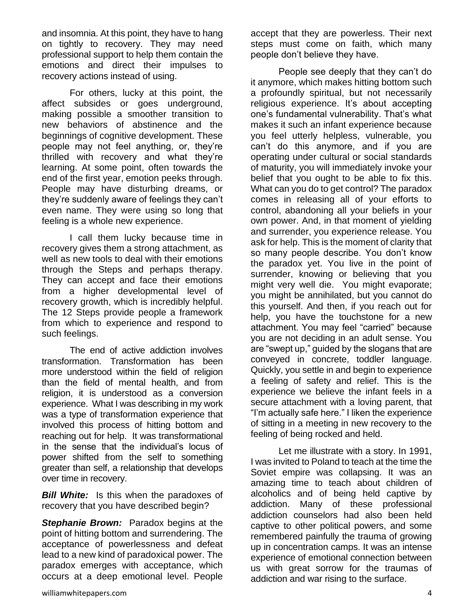and insomnia. At this point, they have to hang on tightly to recovery. They may need professional support to help them contain the emotions and direct their impulses to recovery actions instead of using.

For others, lucky at this point, the affect subsides or goes underground, making possible a smoother transition to new behaviors of abstinence and the beginnings of cognitive development. These people may not feel anything, or, they're thrilled with recovery and what they're learning. At some point, often towards the end of the first year, emotion peeks through. People may have disturbing dreams, or they're suddenly aware of feelings they can't even name. They were using so long that feeling is a whole new experience.

I call them lucky because time in recovery gives them a strong attachment, as well as new tools to deal with their emotions through the Steps and perhaps therapy. They can accept and face their emotions from a higher developmental level of recovery growth, which is incredibly helpful. The 12 Steps provide people a framework from which to experience and respond to such feelings.

The end of active addiction involves transformation. Transformation has been more understood within the field of religion than the field of mental health, and from religion, it is understood as a conversion experience. What I was describing in my work was a type of transformation experience that involved this process of hitting bottom and reaching out for help. It was transformational in the sense that the individual's locus of power shifted from the self to something greater than self, a relationship that develops over time in recovery.

*Bill White:* Is this when the paradoxes of recovery that you have described begin?

*Stephanie Brown:* Paradox begins at the point of hitting bottom and surrendering. The acceptance of powerlessness and defeat lead to a new kind of paradoxical power. The paradox emerges with acceptance, which occurs at a deep emotional level. People

People see deeply that they can't do it anymore, which makes hitting bottom such a profoundly spiritual, but not necessarily religious experience. It's about accepting one's fundamental vulnerability. That's what makes it such an infant experience because you feel utterly helpless, vulnerable, you can't do this anymore, and if you are operating under cultural or social standards of maturity, you will immediately invoke your belief that you ought to be able to fix this. What can you do to get control? The paradox comes in releasing all of your efforts to control, abandoning all your beliefs in your own power. And, in that moment of yielding and surrender, you experience release. You ask for help. This is the moment of clarity that so many people describe. You don't know the paradox yet. You live in the point of surrender, knowing or believing that you might very well die. You might evaporate; you might be annihilated, but you cannot do this yourself. And then, if you reach out for help, you have the touchstone for a new attachment. You may feel "carried" because you are not deciding in an adult sense. You are "swept up," guided by the slogans that are conveyed in concrete, toddler language. Quickly, you settle in and begin to experience a feeling of safety and relief. This is the experience we believe the infant feels in a secure attachment with a loving parent, that "I'm actually safe here." I liken the experience of sitting in a meeting in new recovery to the feeling of being rocked and held.

Let me illustrate with a story. In 1991, I was invited to Poland to teach at the time the Soviet empire was collapsing. It was an amazing time to teach about children of alcoholics and of being held captive by addiction. Many of these professional addiction counselors had also been held captive to other political powers, and some remembered painfully the trauma of growing up in concentration camps. It was an intense experience of emotional connection between us with great sorrow for the traumas of addiction and war rising to the surface.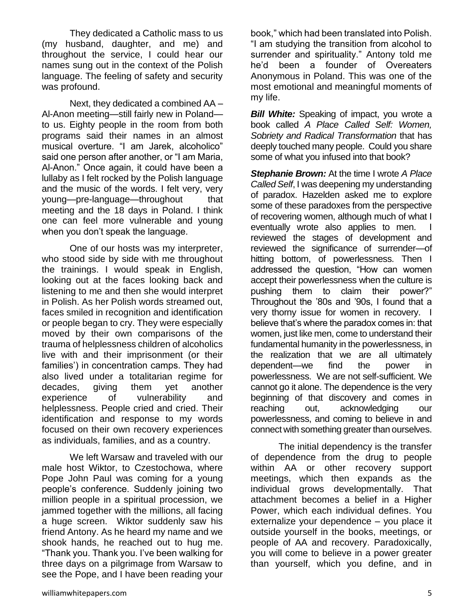They dedicated a Catholic mass to us (my husband, daughter, and me) and throughout the service, I could hear our names sung out in the context of the Polish language. The feeling of safety and security was profound.

Next, they dedicated a combined AA – Al-Anon meeting—still fairly new in Poland to us. Eighty people in the room from both programs said their names in an almost musical overture. "I am Jarek, alcoholico" said one person after another, or "I am Maria, Al-Anon." Once again, it could have been a lullaby as I felt rocked by the Polish language and the music of the words. I felt very, very young—pre-language—throughout that meeting and the 18 days in Poland. I think one can feel more vulnerable and young when you don't speak the language.

One of our hosts was my interpreter, who stood side by side with me throughout the trainings. I would speak in English, looking out at the faces looking back and listening to me and then she would interpret in Polish. As her Polish words streamed out, faces smiled in recognition and identification or people began to cry. They were especially moved by their own comparisons of the trauma of helplessness children of alcoholics live with and their imprisonment (or their families') in concentration camps. They had also lived under a totalitarian regime for decades, giving them yet another experience of vulnerability and helplessness. People cried and cried. Their identification and response to my words focused on their own recovery experiences as individuals, families, and as a country.

We left Warsaw and traveled with our male host Wiktor, to Czestochowa, where Pope John Paul was coming for a young people's conference. Suddenly joining two million people in a spiritual procession, we jammed together with the millions, all facing a huge screen. Wiktor suddenly saw his friend Antony. As he heard my name and we shook hands, he reached out to hug me. "Thank you. Thank you. I've been walking for three days on a pilgrimage from Warsaw to see the Pope, and I have been reading your

book," which had been translated into Polish. "I am studying the transition from alcohol to surrender and spirituality." Antony told me he'd been a founder of Overeaters Anonymous in Poland. This was one of the most emotional and meaningful moments of my life.

**Bill White:** Speaking of impact, you wrote a book called *A Place Called Self: Women, Sobriety and Radical Transformation* that has deeply touched many people. Could you share some of what you infused into that book?

*Stephanie Brown:* At the time I wrote *A Place Called Self*, I was deepening my understanding of paradox. Hazelden asked me to explore some of these paradoxes from the perspective of recovering women, although much of what I eventually wrote also applies to men. I reviewed the stages of development and reviewed the significance of surrender—of hitting bottom, of powerlessness. Then I addressed the question, "How can women accept their powerlessness when the culture is pushing them to claim their power?" Throughout the '80s and '90s, I found that a very thorny issue for women in recovery. I believe that's where the paradox comes in: that women, just like men, come to understand their fundamental humanity in the powerlessness, in the realization that we are all ultimately dependent—we find the power in powerlessness. We are not self-sufficient. We cannot go it alone. The dependence is the very beginning of that discovery and comes in reaching out, acknowledging our powerlessness, and coming to believe in and connect with something greater than ourselves.

The initial dependency is the transfer of dependence from the drug to people within AA or other recovery support meetings, which then expands as the individual grows developmentally. That attachment becomes a belief in a Higher Power, which each individual defines. You externalize your dependence – you place it outside yourself in the books, meetings, or people of AA and recovery. Paradoxically, you will come to believe in a power greater than yourself, which you define, and in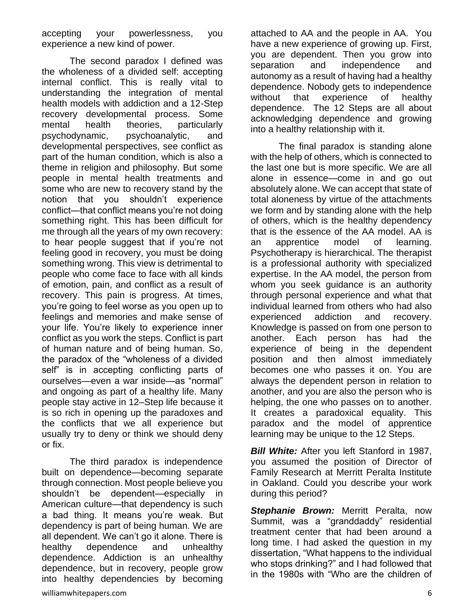accepting your powerlessness, you experience a new kind of power.

The second paradox I defined was the wholeness of a divided self: accepting internal conflict. This is really vital to understanding the integration of mental health models with addiction and a 12-Step recovery developmental process. Some mental health theories, particularly psychodynamic, psychoanalytic, and developmental perspectives, see conflict as part of the human condition, which is also a theme in religion and philosophy. But some people in mental health treatments and some who are new to recovery stand by the notion that you shouldn't experience conflict—that conflict means you're not doing something right. This has been difficult for me through all the years of my own recovery: to hear people suggest that if you're not feeling good in recovery, you must be doing something wrong. This view is detrimental to people who come face to face with all kinds of emotion, pain, and conflict as a result of recovery. This pain is progress. At times, you're going to feel worse as you open up to feelings and memories and make sense of your life. You're likely to experience inner conflict as you work the steps. Conflict is part of human nature and of being human. So, the paradox of the "wholeness of a divided self" is in accepting conflicting parts of ourselves—even a war inside—as "normal" and ongoing as part of a healthy life. Many people stay active in 12–Step life because it is so rich in opening up the paradoxes and the conflicts that we all experience but usually try to deny or think we should deny or fix.

The third paradox is independence built on dependence—becoming separate through connection. Most people believe you shouldn't be dependent—especially in American culture—that dependency is such a bad thing. It means you're weak. But dependency is part of being human. We are all dependent. We can't go it alone. There is healthy dependence and unhealthy dependence. Addiction is an unhealthy dependence, but in recovery, people grow into healthy dependencies by becoming

attached to AA and the people in AA. You have a new experience of growing up. First, you are dependent. Then you grow into separation and independence and autonomy as a result of having had a healthy dependence. Nobody gets to independence without that experience of healthy dependence. The 12 Steps are all about acknowledging dependence and growing into a healthy relationship with it.

The final paradox is standing alone with the help of others, which is connected to the last one but is more specific. We are all alone in essence—come in and go out absolutely alone. We can accept that state of total aloneness by virtue of the attachments we form and by standing alone with the help of others, which is the healthy dependency that is the essence of the AA model. AA is an apprentice model of learning. Psychotherapy is hierarchical. The therapist is a professional authority with specialized expertise. In the AA model, the person from whom you seek guidance is an authority through personal experience and what that individual learned from others who had also experienced addiction and recovery. Knowledge is passed on from one person to another. Each person has had the experience of being in the dependent position and then almost immediately becomes one who passes it on. You are always the dependent person in relation to another, and you are also the person who is helping, the one who passes on to another. It creates a paradoxical equality. This paradox and the model of apprentice learning may be unique to the 12 Steps.

*Bill White:* After you left Stanford in 1987, you assumed the position of Director of Family Research at Merritt Peralta Institute in Oakland. Could you describe your work during this period?

**Stephanie Brown:** Merritt Peralta, now Summit, was a "granddaddy" residential treatment center that had been around a long time. I had asked the question in my dissertation, "What happens to the individual who stops drinking?" and I had followed that in the 1980s with "Who are the children of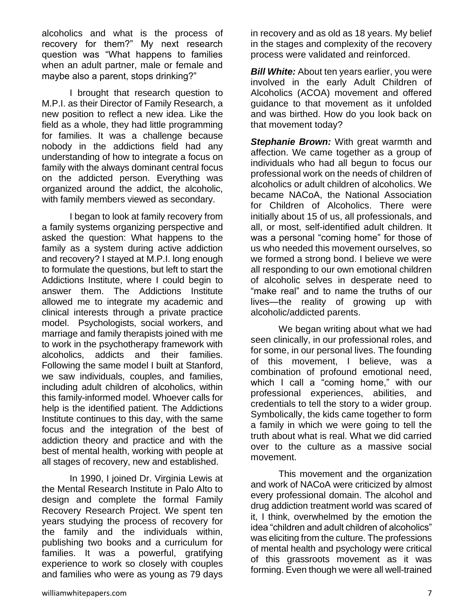alcoholics and what is the process of recovery for them?" My next research question was "What happens to families when an adult partner, male or female and maybe also a parent, stops drinking?"

I brought that research question to M.P.I. as their Director of Family Research, a new position to reflect a new idea. Like the field as a whole, they had little programming for families. It was a challenge because nobody in the addictions field had any understanding of how to integrate a focus on family with the always dominant central focus on the addicted person. Everything was organized around the addict, the alcoholic, with family members viewed as secondary.

I began to look at family recovery from a family systems organizing perspective and asked the question: What happens to the family as a system during active addiction and recovery? I stayed at M.P.I. long enough to formulate the questions, but left to start the Addictions Institute, where I could begin to answer them. The Addictions Institute allowed me to integrate my academic and clinical interests through a private practice model. Psychologists, social workers, and marriage and family therapists joined with me to work in the psychotherapy framework with alcoholics, addicts and their families. Following the same model I built at Stanford, we saw individuals, couples, and families, including adult children of alcoholics, within this family-informed model. Whoever calls for help is the identified patient. The Addictions Institute continues to this day, with the same focus and the integration of the best of addiction theory and practice and with the best of mental health, working with people at all stages of recovery, new and established.

In 1990, I joined Dr. Virginia Lewis at the Mental Research Institute in Palo Alto to design and complete the formal Family Recovery Research Project. We spent ten years studying the process of recovery for the family and the individuals within, publishing two books and a curriculum for families. It was a powerful, gratifying experience to work so closely with couples and families who were as young as 79 days

in recovery and as old as 18 years. My belief in the stages and complexity of the recovery process were validated and reinforced.

**Bill White:** About ten years earlier, you were involved in the early Adult Children of Alcoholics (ACOA) movement and offered guidance to that movement as it unfolded and was birthed. How do you look back on that movement today?

*Stephanie Brown:* With great warmth and affection. We came together as a group of individuals who had all begun to focus our professional work on the needs of children of alcoholics or adult children of alcoholics. We became NACoA, the National Association for Children of Alcoholics. There were initially about 15 of us, all professionals, and all, or most, self-identified adult children. It was a personal "coming home" for those of us who needed this movement ourselves, so we formed a strong bond. I believe we were all responding to our own emotional children of alcoholic selves in desperate need to "make real" and to name the truths of our lives—the reality of growing up with alcoholic/addicted parents.

We began writing about what we had seen clinically, in our professional roles, and for some, in our personal lives. The founding of this movement, I believe, was a combination of profound emotional need, which I call a "coming home," with our professional experiences, abilities, and credentials to tell the story to a wider group. Symbolically, the kids came together to form a family in which we were going to tell the truth about what is real. What we did carried over to the culture as a massive social movement.

This movement and the organization and work of NACoA were criticized by almost every professional domain. The alcohol and drug addiction treatment world was scared of it, I think, overwhelmed by the emotion the idea "children and adult children of alcoholics" was eliciting from the culture. The professions of mental health and psychology were critical of this grassroots movement as it was forming. Even though we were all well-trained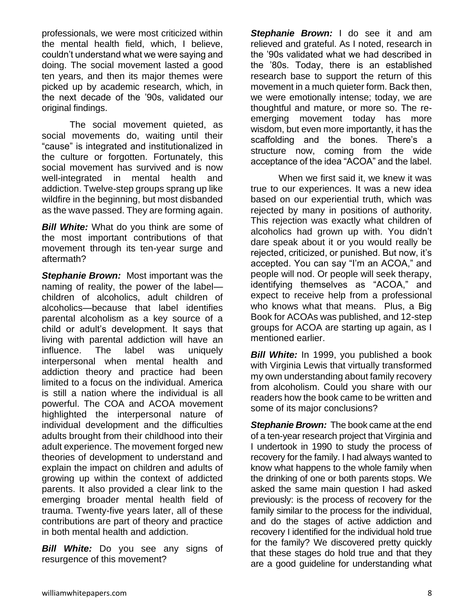professionals, we were most criticized within the mental health field, which, I believe, couldn't understand what we were saying and doing. The social movement lasted a good ten years, and then its major themes were picked up by academic research, which, in the next decade of the '90s, validated our original findings.

The social movement quieted, as social movements do, waiting until their "cause" is integrated and institutionalized in the culture or forgotten. Fortunately, this social movement has survived and is now well-integrated in mental health and addiction. Twelve-step groups sprang up like wildfire in the beginning, but most disbanded as the wave passed. They are forming again.

*Bill White:* What do you think are some of the most important contributions of that movement through its ten-year surge and aftermath?

*Stephanie Brown:* Most important was the naming of reality, the power of the label children of alcoholics, adult children of alcoholics—because that label identifies parental alcoholism as a key source of a child or adult's development. It says that living with parental addiction will have an influence. The label was uniquely interpersonal when mental health and addiction theory and practice had been limited to a focus on the individual. America is still a nation where the individual is all powerful. The COA and ACOA movement highlighted the interpersonal nature of individual development and the difficulties adults brought from their childhood into their adult experience. The movement forged new theories of development to understand and explain the impact on children and adults of growing up within the context of addicted parents. It also provided a clear link to the emerging broader mental health field of trauma. Twenty-five years later, all of these contributions are part of theory and practice in both mental health and addiction.

*Bill White:* Do you see any signs of resurgence of this movement?

**Stephanie Brown:** I do see it and am relieved and grateful. As I noted, research in the '90s validated what we had described in the '80s. Today, there is an established research base to support the return of this movement in a much quieter form. Back then, we were emotionally intense; today, we are thoughtful and mature, or more so. The reemerging movement today has more wisdom, but even more importantly, it has the scaffolding and the bones. There's a structure now, coming from the wide acceptance of the idea "ACOA" and the label.

When we first said it, we knew it was true to our experiences. It was a new idea based on our experiential truth, which was rejected by many in positions of authority. This rejection was exactly what children of alcoholics had grown up with. You didn't dare speak about it or you would really be rejected, criticized, or punished. But now, it's accepted. You can say "I'm an ACOA," and people will nod. Or people will seek therapy, identifying themselves as "ACOA," and expect to receive help from a professional who knows what that means. Plus, a Big Book for ACOAs was published, and 12-step groups for ACOA are starting up again, as I mentioned earlier.

*Bill White:* In 1999, you published a book with Virginia Lewis that virtually transformed my own understanding about family recovery from alcoholism. Could you share with our readers how the book came to be written and some of its major conclusions?

*Stephanie Brown:* The book came at the end of a ten-year research project that Virginia and I undertook in 1990 to study the process of recovery for the family. I had always wanted to know what happens to the whole family when the drinking of one or both parents stops. We asked the same main question I had asked previously: is the process of recovery for the family similar to the process for the individual, and do the stages of active addiction and recovery I identified for the individual hold true for the family? We discovered pretty quickly that these stages do hold true and that they are a good guideline for understanding what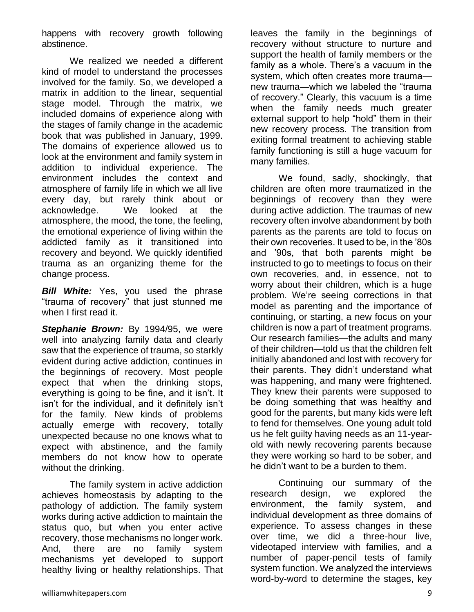happens with recovery growth following abstinence.

We realized we needed a different kind of model to understand the processes involved for the family. So, we developed a matrix in addition to the linear, sequential stage model. Through the matrix, we included domains of experience along with the stages of family change in the academic book that was published in January, 1999. The domains of experience allowed us to look at the environment and family system in addition to individual experience. The environment includes the context and atmosphere of family life in which we all live every day, but rarely think about or acknowledge. We looked at the atmosphere, the mood, the tone, the feeling, the emotional experience of living within the addicted family as it transitioned into recovery and beyond. We quickly identified trauma as an organizing theme for the change process.

*Bill White:* Yes, you used the phrase "trauma of recovery" that just stunned me when I first read it.

*Stephanie Brown:* By 1994/95, we were well into analyzing family data and clearly saw that the experience of trauma, so starkly evident during active addiction, continues in the beginnings of recovery. Most people expect that when the drinking stops, everything is going to be fine, and it isn't. It isn't for the individual, and it definitely isn't for the family. New kinds of problems actually emerge with recovery, totally unexpected because no one knows what to expect with abstinence, and the family members do not know how to operate without the drinking.

The family system in active addiction achieves homeostasis by adapting to the pathology of addiction. The family system works during active addiction to maintain the status quo, but when you enter active recovery, those mechanisms no longer work. And, there are no family system mechanisms yet developed to support healthy living or healthy relationships. That leaves the family in the beginnings of recovery without structure to nurture and support the health of family members or the family as a whole. There's a vacuum in the system, which often creates more trauma new trauma—which we labeled the "trauma of recovery." Clearly, this vacuum is a time when the family needs much greater external support to help "hold" them in their new recovery process. The transition from exiting formal treatment to achieving stable family functioning is still a huge vacuum for many families.

We found, sadly, shockingly, that children are often more traumatized in the beginnings of recovery than they were during active addiction. The traumas of new recovery often involve abandonment by both parents as the parents are told to focus on their own recoveries. It used to be, in the '80s and '90s, that both parents might be instructed to go to meetings to focus on their own recoveries, and, in essence, not to worry about their children, which is a huge problem. We're seeing corrections in that model as parenting and the importance of continuing, or starting, a new focus on your children is now a part of treatment programs. Our research families—the adults and many of their children—told us that the children felt initially abandoned and lost with recovery for their parents. They didn't understand what was happening, and many were frightened. They knew their parents were supposed to be doing something that was healthy and good for the parents, but many kids were left to fend for themselves. One young adult told us he felt guilty having needs as an 11-yearold with newly recovering parents because they were working so hard to be sober, and he didn't want to be a burden to them.

Continuing our summary of the research design, we explored the environment, the family system, and individual development as three domains of experience. To assess changes in these over time, we did a three-hour live, videotaped interview with families, and a number of paper-pencil tests of family system function. We analyzed the interviews word-by-word to determine the stages, key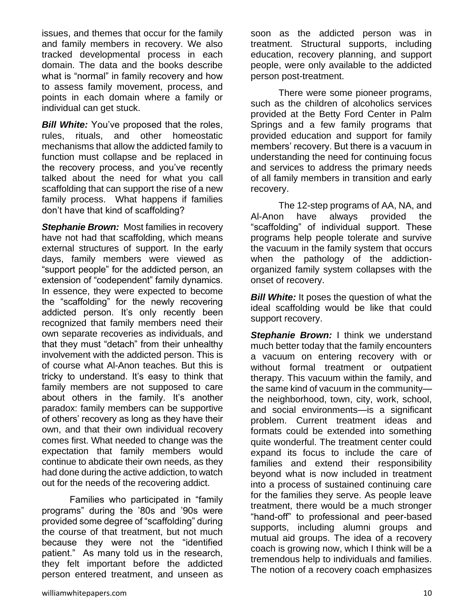issues, and themes that occur for the family and family members in recovery. We also tracked developmental process in each domain. The data and the books describe what is "normal" in family recovery and how to assess family movement, process, and points in each domain where a family or individual can get stuck.

**Bill White:** You've proposed that the roles, rules, rituals, and other homeostatic mechanisms that allow the addicted family to function must collapse and be replaced in the recovery process, and you've recently talked about the need for what you call scaffolding that can support the rise of a new family process. What happens if families don't have that kind of scaffolding?

*Stephanie Brown:* Most families in recovery have not had that scaffolding, which means external structures of support. In the early days, family members were viewed as "support people" for the addicted person, an extension of "codependent" family dynamics. In essence, they were expected to become the "scaffolding" for the newly recovering addicted person. It's only recently been recognized that family members need their own separate recoveries as individuals, and that they must "detach" from their unhealthy involvement with the addicted person. This is of course what Al-Anon teaches. But this is tricky to understand. It's easy to think that family members are not supposed to care about others in the family. It's another paradox: family members can be supportive of others' recovery as long as they have their own, and that their own individual recovery comes first. What needed to change was the expectation that family members would continue to abdicate their own needs, as they had done during the active addiction, to watch out for the needs of the recovering addict.

Families who participated in "family programs" during the '80s and '90s were provided some degree of "scaffolding" during the course of that treatment, but not much because they were not the "identified patient." As many told us in the research, they felt important before the addicted person entered treatment, and unseen as

soon as the addicted person was in treatment. Structural supports, including education, recovery planning, and support people, were only available to the addicted person post-treatment.

There were some pioneer programs, such as the children of alcoholics services provided at the Betty Ford Center in Palm Springs and a few family programs that provided education and support for family members' recovery. But there is a vacuum in understanding the need for continuing focus and services to address the primary needs of all family members in transition and early recovery.

The 12-step programs of AA, NA, and Al-Anon have always provided the "scaffolding" of individual support. These programs help people tolerate and survive the vacuum in the family system that occurs when the pathology of the addictionorganized family system collapses with the onset of recovery.

*Bill White:* It poses the question of what the ideal scaffolding would be like that could support recovery.

*Stephanie Brown:* I think we understand much better today that the family encounters a vacuum on entering recovery with or without formal treatment or outpatient therapy. This vacuum within the family, and the same kind of vacuum in the community the neighborhood, town, city, work, school, and social environments—is a significant problem. Current treatment ideas and formats could be extended into something quite wonderful. The treatment center could expand its focus to include the care of families and extend their responsibility beyond what is now included in treatment into a process of sustained continuing care for the families they serve. As people leave treatment, there would be a much stronger "hand-off" to professional and peer-based supports, including alumni groups and mutual aid groups. The idea of a recovery coach is growing now, which I think will be a tremendous help to individuals and families. The notion of a recovery coach emphasizes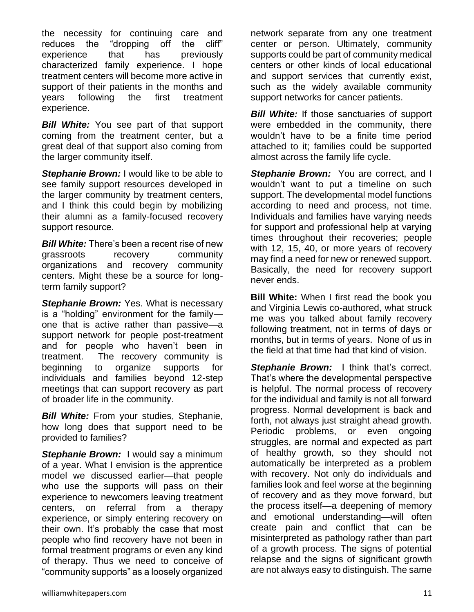the necessity for continuing care and reduces the "dropping off the cliff" experience that has previously characterized family experience. I hope treatment centers will become more active in support of their patients in the months and years following the first treatment experience.

*Bill White:* You see part of that support coming from the treatment center, but a great deal of that support also coming from the larger community itself.

*Stephanie Brown:* I would like to be able to see family support resources developed in the larger community by treatment centers, and I think this could begin by mobilizing their alumni as a family-focused recovery support resource.

*Bill White:* There's been a recent rise of new grassroots recovery community organizations and recovery community centers. Might these be a source for longterm family support?

*Stephanie Brown:* Yes. What is necessary is a "holding" environment for the family one that is active rather than passive—a support network for people post-treatment and for people who haven't been in treatment. The recovery community is beginning to organize supports for individuals and families beyond 12-step meetings that can support recovery as part of broader life in the community.

*Bill White:* From your studies, Stephanie, how long does that support need to be provided to families?

*Stephanie Brown:* I would say a minimum of a year. What I envision is the apprentice model we discussed earlier—that people who use the supports will pass on their experience to newcomers leaving treatment centers, on referral from a therapy experience, or simply entering recovery on their own. It's probably the case that most people who find recovery have not been in formal treatment programs or even any kind of therapy. Thus we need to conceive of "community supports" as a loosely organized

network separate from any one treatment center or person. Ultimately, community supports could be part of community medical centers or other kinds of local educational and support services that currently exist, such as the widely available community support networks for cancer patients.

**Bill White:** If those sanctuaries of support were embedded in the community, there wouldn't have to be a finite time period attached to it; families could be supported almost across the family life cycle.

**Stephanie Brown:** You are correct, and I wouldn't want to put a timeline on such support. The developmental model functions according to need and process, not time. Individuals and families have varying needs for support and professional help at varying times throughout their recoveries; people with 12, 15, 40, or more years of recovery may find a need for new or renewed support. Basically, the need for recovery support never ends.

**Bill White:** When I first read the book you and Virginia Lewis co-authored, what struck me was you talked about family recovery following treatment, not in terms of days or months, but in terms of years. None of us in the field at that time had that kind of vision.

**Stephanie Brown:** I think that's correct. That's where the developmental perspective is helpful. The normal process of recovery for the individual and family is not all forward progress. Normal development is back and forth, not always just straight ahead growth. Periodic problems, or even ongoing struggles, are normal and expected as part of healthy growth, so they should not automatically be interpreted as a problem with recovery. Not only do individuals and families look and feel worse at the beginning of recovery and as they move forward, but the process itself—a deepening of memory and emotional understanding—will often create pain and conflict that can be misinterpreted as pathology rather than part of a growth process. The signs of potential relapse and the signs of significant growth are not always easy to distinguish. The same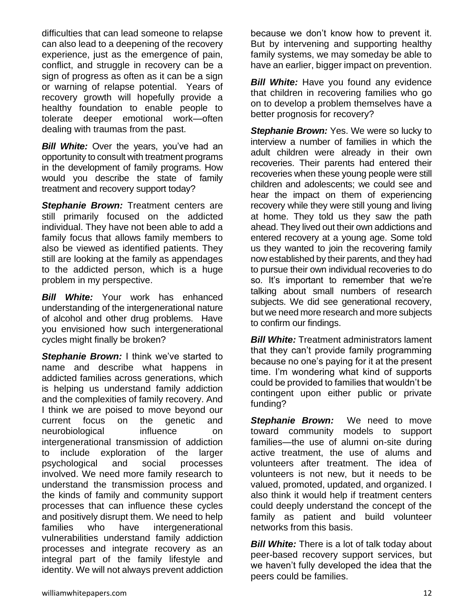difficulties that can lead someone to relapse can also lead to a deepening of the recovery experience, just as the emergence of pain, conflict, and struggle in recovery can be a sign of progress as often as it can be a sign or warning of relapse potential. Years of recovery growth will hopefully provide a healthy foundation to enable people to tolerate deeper emotional work—often dealing with traumas from the past.

*Bill White:* Over the years, you've had an opportunity to consult with treatment programs in the development of family programs. How would you describe the state of family treatment and recovery support today?

*Stephanie Brown:* Treatment centers are still primarily focused on the addicted individual. They have not been able to add a family focus that allows family members to also be viewed as identified patients. They still are looking at the family as appendages to the addicted person, which is a huge problem in my perspective.

*Bill White:* Your work has enhanced understanding of the intergenerational nature of alcohol and other drug problems. Have you envisioned how such intergenerational cycles might finally be broken?

**Stephanie Brown:** I think we've started to name and describe what happens in addicted families across generations, which is helping us understand family addiction and the complexities of family recovery. And I think we are poised to move beyond our current focus on the genetic and neurobiological influence on intergenerational transmission of addiction to include exploration of the larger psychological and social processes involved. We need more family research to understand the transmission process and the kinds of family and community support processes that can influence these cycles and positively disrupt them. We need to help families who have intergenerational vulnerabilities understand family addiction processes and integrate recovery as an integral part of the family lifestyle and identity. We will not always prevent addiction because we don't know how to prevent it. But by intervening and supporting healthy family systems, we may someday be able to have an earlier, bigger impact on prevention.

*Bill White:* Have you found any evidence that children in recovering families who go on to develop a problem themselves have a better prognosis for recovery?

**Stephanie Brown:** Yes. We were so lucky to interview a number of families in which the adult children were already in their own recoveries. Their parents had entered their recoveries when these young people were still children and adolescents; we could see and hear the impact on them of experiencing recovery while they were still young and living at home. They told us they saw the path ahead. They lived out their own addictions and entered recovery at a young age. Some told us they wanted to join the recovering family now established by their parents, and they had to pursue their own individual recoveries to do so. It's important to remember that we're talking about small numbers of research subjects. We did see generational recovery, but we need more research and more subjects to confirm our findings.

*Bill White:* Treatment administrators lament that they can't provide family programming because no one's paying for it at the present time. I'm wondering what kind of supports could be provided to families that wouldn't be contingent upon either public or private funding?

**Stephanie Brown:** We need to move toward community models to support families—the use of alumni on-site during active treatment, the use of alums and volunteers after treatment. The idea of volunteers is not new, but it needs to be valued, promoted, updated, and organized. I also think it would help if treatment centers could deeply understand the concept of the family as patient and build volunteer networks from this basis.

**Bill White:** There is a lot of talk today about peer-based recovery support services, but we haven't fully developed the idea that the peers could be families.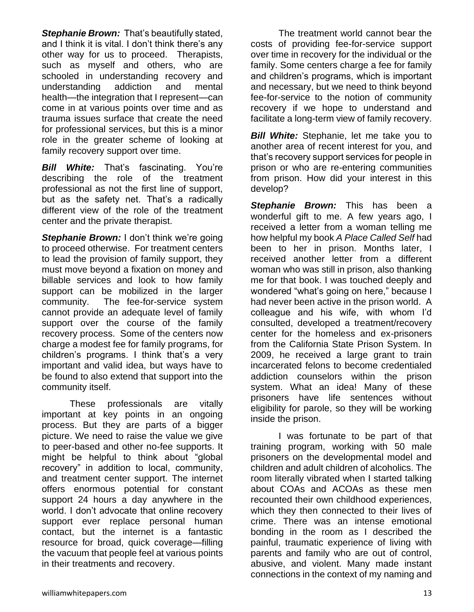*Stephanie Brown:* That's beautifully stated, and I think it is vital. I don't think there's any other way for us to proceed. Therapists, such as myself and others, who are schooled in understanding recovery and understanding addiction and mental health—the integration that I represent—can come in at various points over time and as trauma issues surface that create the need for professional services, but this is a minor role in the greater scheme of looking at family recovery support over time.

*Bill White:* That's fascinating. You're describing the role of the treatment professional as not the first line of support, but as the safety net. That's a radically different view of the role of the treatment center and the private therapist.

**Stephanie Brown:** I don't think we're going to proceed otherwise. For treatment centers to lead the provision of family support, they must move beyond a fixation on money and billable services and look to how family support can be mobilized in the larger community. The fee-for-service system cannot provide an adequate level of family support over the course of the family recovery process. Some of the centers now charge a modest fee for family programs, for children's programs. I think that's a very important and valid idea, but ways have to be found to also extend that support into the community itself.

These professionals are vitally important at key points in an ongoing process. But they are parts of a bigger picture. We need to raise the value we give to peer-based and other no-fee supports. It might be helpful to think about "global recovery" in addition to local, community, and treatment center support. The internet offers enormous potential for constant support 24 hours a day anywhere in the world. I don't advocate that online recovery support ever replace personal human contact, but the internet is a fantastic resource for broad, quick coverage—filling the vacuum that people feel at various points in their treatments and recovery.

The treatment world cannot bear the costs of providing fee-for-service support over time in recovery for the individual or the family. Some centers charge a fee for family and children's programs, which is important and necessary, but we need to think beyond fee-for-service to the notion of community recovery if we hope to understand and facilitate a long-term view of family recovery.

**Bill White:** Stephanie, let me take you to another area of recent interest for you, and that's recovery support services for people in prison or who are re-entering communities from prison. How did your interest in this develop?

*Stephanie Brown:* This has been a wonderful gift to me. A few years ago, I received a letter from a woman telling me how helpful my book *A Place Called Self* had been to her in prison. Months later, I received another letter from a different woman who was still in prison, also thanking me for that book. I was touched deeply and wondered "what's going on here," because I had never been active in the prison world. A colleague and his wife, with whom I'd consulted, developed a treatment/recovery center for the homeless and ex-prisoners from the California State Prison System. In 2009, he received a large grant to train incarcerated felons to become credentialed addiction counselors within the prison system. What an idea! Many of these prisoners have life sentences without eligibility for parole, so they will be working inside the prison.

I was fortunate to be part of that training program, working with 50 male prisoners on the developmental model and children and adult children of alcoholics. The room literally vibrated when I started talking about COAs and ACOAs as these men recounted their own childhood experiences, which they then connected to their lives of crime. There was an intense emotional bonding in the room as I described the painful, traumatic experience of living with parents and family who are out of control, abusive, and violent. Many made instant connections in the context of my naming and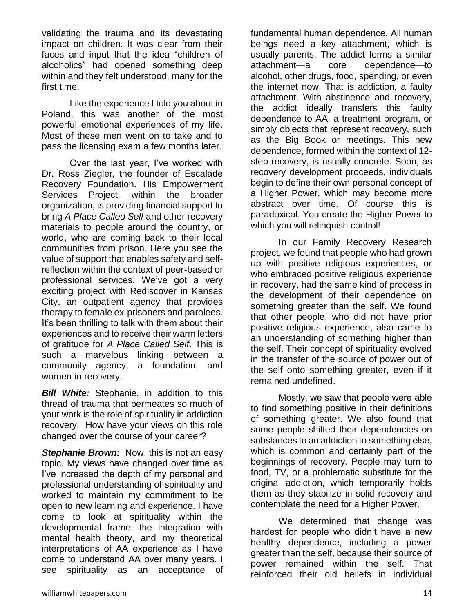validating the trauma and its devastating impact on children. It was clear from their faces and input that the idea "children of alcoholics" had opened something deep within and they felt understood, many for the first time.

Like the experience I told you about in Poland, this was another of the most powerful emotional experiences of my life. Most of these men went on to take and to pass the licensing exam a few months later.

Over the last year, I've worked with Dr. Ross Ziegler, the founder of Escalade Recovery Foundation. His Empowerment Services Project, within the broader organization, is providing financial support to bring *A Place Called Self* and other recovery materials to people around the country, or world, who are coming back to their local communities from prison. Here you see the value of support that enables safety and selfreflection within the context of peer-based or professional services. We've got a very exciting project with Rediscover in Kansas City, an outpatient agency that provides therapy to female ex-prisoners and parolees. It's been thrilling to talk with them about their experiences and to receive their warm letters of gratitude for *A Place Called Self*. This is such a marvelous linking between a community agency, a foundation, and women in recovery.

**Bill White:** Stephanie, in addition to this thread of trauma that permeates so much of your work is the role of spirituality in addiction recovery. How have your views on this role changed over the course of your career?

*Stephanie Brown:* Now, this is not an easy topic. My views have changed over time as I've increased the depth of my personal and professional understanding of spirituality and worked to maintain my commitment to be open to new learning and experience. I have come to look at spirituality within the developmental frame, the integration with mental health theory, and my theoretical interpretations of AA experience as I have come to understand AA over many years. I see spirituality as an acceptance of fundamental human dependence. All human beings need a key attachment, which is usually parents. The addict forms a similar attachment—a core dependence—to alcohol, other drugs, food, spending, or even the internet now. That is addiction, a faulty attachment. With abstinence and recovery, the addict ideally transfers this faulty dependence to AA, a treatment program, or simply objects that represent recovery, such as the Big Book or meetings. This new dependence, formed within the context of 12 step recovery, is usually concrete. Soon, as recovery development proceeds, individuals begin to define their own personal concept of a Higher Power, which may become more abstract over time. Of course this is paradoxical. You create the Higher Power to which you will relinquish control!

In our Family Recovery Research project, we found that people who had grown up with positive religious experiences, or who embraced positive religious experience in recovery, had the same kind of process in the development of their dependence on something greater than the self. We found that other people, who did not have prior positive religious experience, also came to an understanding of something higher than the self. Their concept of spirituality evolved in the transfer of the source of power out of the self onto something greater, even if it remained undefined.

Mostly, we saw that people were able to find something positive in their definitions of something greater. We also found that some people shifted their dependencies on substances to an addiction to something else, which is common and certainly part of the beginnings of recovery. People may turn to food, TV, or a problematic substitute for the original addiction, which temporarily holds them as they stabilize in solid recovery and contemplate the need for a Higher Power.

We determined that change was hardest for people who didn't have a new healthy dependence, including a power greater than the self, because their source of power remained within the self. That reinforced their old beliefs in individual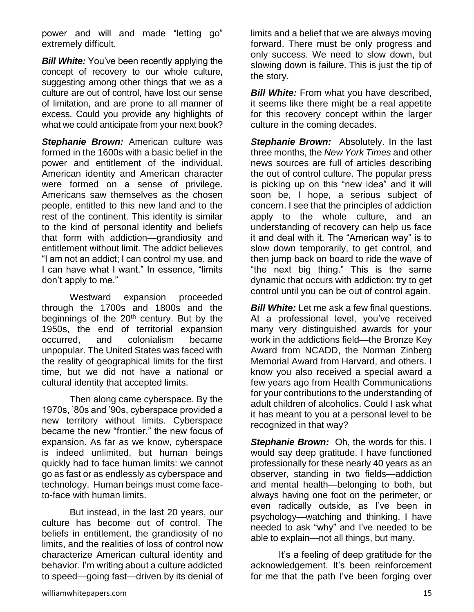power and will and made "letting go" extremely difficult.

*Bill White:* You've been recently applying the concept of recovery to our whole culture, suggesting among other things that we as a culture are out of control, have lost our sense of limitation, and are prone to all manner of excess. Could you provide any highlights of what we could anticipate from your next book?

*Stephanie Brown:* American culture was formed in the 1600s with a basic belief in the power and entitlement of the individual. American identity and American character were formed on a sense of privilege. Americans saw themselves as the chosen people, entitled to this new land and to the rest of the continent. This identity is similar to the kind of personal identity and beliefs that form with addiction—grandiosity and entitlement without limit. The addict believes "I am not an addict; I can control my use, and I can have what I want." In essence, "limits don't apply to me."

Westward expansion proceeded through the 1700s and 1800s and the beginnings of the  $20<sup>th</sup>$  century. But by the 1950s, the end of territorial expansion occurred, and colonialism became unpopular. The United States was faced with the reality of geographical limits for the first time, but we did not have a national or cultural identity that accepted limits.

Then along came cyberspace. By the 1970s, '80s and '90s, cyberspace provided a new territory without limits. Cyberspace became the new "frontier," the new focus of expansion. As far as we know, cyberspace is indeed unlimited, but human beings quickly had to face human limits: we cannot go as fast or as endlessly as cyberspace and technology. Human beings must come faceto-face with human limits.

But instead, in the last 20 years, our culture has become out of control. The beliefs in entitlement, the grandiosity of no limits, and the realities of loss of control now characterize American cultural identity and behavior. I'm writing about a culture addicted to speed—going fast—driven by its denial of limits and a belief that we are always moving forward. There must be only progress and only success. We need to slow down, but slowing down is failure. This is just the tip of the story.

*Bill White:* From what you have described, it seems like there might be a real appetite for this recovery concept within the larger culture in the coming decades.

**Stephanie Brown:** Absolutely. In the last three months, the *New York Times* and other news sources are full of articles describing the out of control culture. The popular press is picking up on this "new idea" and it will soon be, I hope, a serious subject of concern. I see that the principles of addiction apply to the whole culture, and an understanding of recovery can help us face it and deal with it. The "American way" is to slow down temporarily, to get control, and then jump back on board to ride the wave of "the next big thing." This is the same dynamic that occurs with addiction: try to get control until you can be out of control again.

*Bill White:* Let me ask a few final questions. At a professional level, you've received many very distinguished awards for your work in the addictions field—the Bronze Key Award from NCADD, the Norman Zinberg Memorial Award from Harvard, and others. I know you also received a special award a few years ago from Health Communications for your contributions to the understanding of adult children of alcoholics. Could I ask what it has meant to you at a personal level to be recognized in that way?

**Stephanie Brown:** Oh, the words for this. I would say deep gratitude. I have functioned professionally for these nearly 40 years as an observer, standing in two fields—addiction and mental health—belonging to both, but always having one foot on the perimeter, or even radically outside, as I've been in psychology—watching and thinking. I have needed to ask "why" and I've needed to be able to explain—not all things, but many.

It's a feeling of deep gratitude for the acknowledgement. It's been reinforcement for me that the path I've been forging over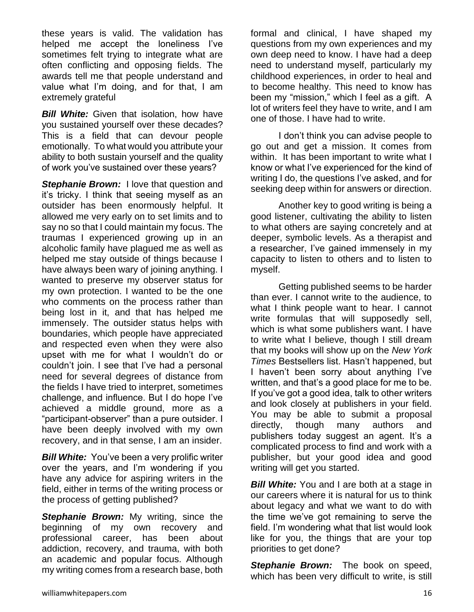these years is valid. The validation has helped me accept the loneliness I've sometimes felt trying to integrate what are often conflicting and opposing fields. The awards tell me that people understand and value what I'm doing, and for that, I am extremely grateful

**Bill White:** Given that isolation, how have you sustained yourself over these decades? This is a field that can devour people emotionally. To what would you attribute your ability to both sustain yourself and the quality of work you've sustained over these years?

**Stephanie Brown:** I love that question and it's tricky. I think that seeing myself as an outsider has been enormously helpful. It allowed me very early on to set limits and to say no so that I could maintain my focus. The traumas I experienced growing up in an alcoholic family have plagued me as well as helped me stay outside of things because I have always been wary of joining anything. I wanted to preserve my observer status for my own protection. I wanted to be the one who comments on the process rather than being lost in it, and that has helped me immensely. The outsider status helps with boundaries, which people have appreciated and respected even when they were also upset with me for what I wouldn't do or couldn't join. I see that I've had a personal need for several degrees of distance from the fields I have tried to interpret, sometimes challenge, and influence. But I do hope I've achieved a middle ground, more as a "participant-observer" than a pure outsider. I have been deeply involved with my own recovery, and in that sense, I am an insider.

*Bill White:*You've been a very prolific writer over the years, and I'm wondering if you have any advice for aspiring writers in the field, either in terms of the writing process or the process of getting published?

**Stephanie Brown:** My writing, since the beginning of my own recovery and professional career, has been about addiction, recovery, and trauma, with both an academic and popular focus. Although my writing comes from a research base, both formal and clinical, I have shaped my questions from my own experiences and my own deep need to know. I have had a deep need to understand myself, particularly my childhood experiences, in order to heal and to become healthy. This need to know has been my "mission," which I feel as a gift. A lot of writers feel they have to write, and I am one of those. I have had to write.

I don't think you can advise people to go out and get a mission. It comes from within. It has been important to write what I know or what I've experienced for the kind of writing I do, the questions I've asked, and for seeking deep within for answers or direction.

Another key to good writing is being a good listener, cultivating the ability to listen to what others are saying concretely and at deeper, symbolic levels. As a therapist and a researcher, I've gained immensely in my capacity to listen to others and to listen to myself.

Getting published seems to be harder than ever. I cannot write to the audience, to what I think people want to hear. I cannot write formulas that will supposedly sell, which is what some publishers want. I have to write what I believe, though I still dream that my books will show up on the *New York Times* Bestsellers list. Hasn't happened, but I haven't been sorry about anything I've written, and that's a good place for me to be. If you've got a good idea, talk to other writers and look closely at publishers in your field. You may be able to submit a proposal directly, though many authors and publishers today suggest an agent. It's a complicated process to find and work with a publisher, but your good idea and good writing will get you started.

**Bill White:** You and I are both at a stage in our careers where it is natural for us to think about legacy and what we want to do with the time we've got remaining to serve the field. I'm wondering what that list would look like for you, the things that are your top priorities to get done?

*Stephanie Brown:* The book on speed, which has been very difficult to write, is still